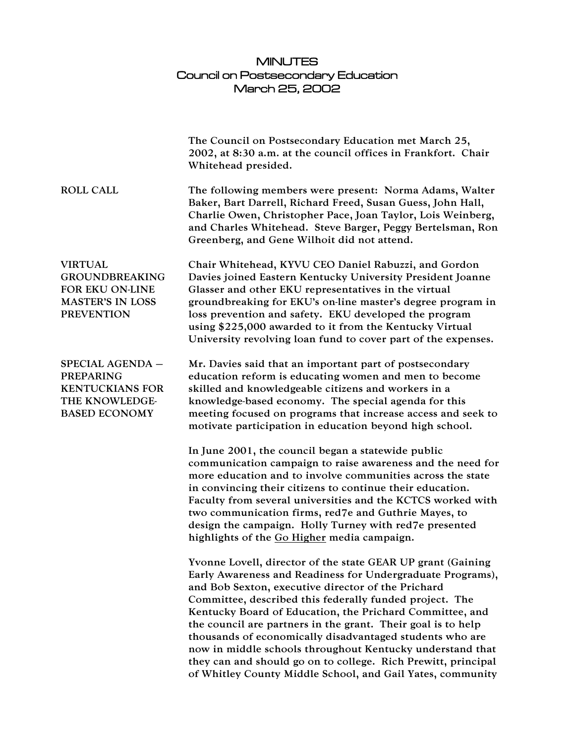## MINUTES Council on Postsecondary Education March 25, 2002

|                                                                                                            | The Council on Postsecondary Education met March 25,<br>2002, at 8:30 a.m. at the council offices in Frankfort. Chair<br>Whitehead presided.                                                                                                                                                                                                                                                                                                                                                                                                                                                                                   |
|------------------------------------------------------------------------------------------------------------|--------------------------------------------------------------------------------------------------------------------------------------------------------------------------------------------------------------------------------------------------------------------------------------------------------------------------------------------------------------------------------------------------------------------------------------------------------------------------------------------------------------------------------------------------------------------------------------------------------------------------------|
| <b>ROLL CALL</b>                                                                                           | The following members were present: Norma Adams, Walter<br>Baker, Bart Darrell, Richard Freed, Susan Guess, John Hall,<br>Charlie Owen, Christopher Pace, Joan Taylor, Lois Weinberg,<br>and Charles Whitehead. Steve Barger, Peggy Bertelsman, Ron<br>Greenberg, and Gene Wilhoit did not attend.                                                                                                                                                                                                                                                                                                                             |
| <b>VIRTUAL</b><br><b>GROUNDBREAKING</b><br>FOR EKU ON-LINE<br><b>MASTER'S IN LOSS</b><br><b>PREVENTION</b> | Chair Whitehead, KYVU CEO Daniel Rabuzzi, and Gordon<br>Davies joined Eastern Kentucky University President Joanne<br>Glasser and other EKU representatives in the virtual<br>groundbreaking for EKU's on-line master's degree program in<br>loss prevention and safety. EKU developed the program<br>using \$225,000 awarded to it from the Kentucky Virtual<br>University revolving loan fund to cover part of the expenses.                                                                                                                                                                                                 |
| SPECIAL AGENDA -<br><b>PREPARING</b><br><b>KENTUCKIANS FOR</b><br>THE KNOWLEDGE-<br><b>BASED ECONOMY</b>   | Mr. Davies said that an important part of postsecondary<br>education reform is educating women and men to become<br>skilled and knowledgeable citizens and workers in a<br>knowledge-based economy. The special agenda for this<br>meeting focused on programs that increase access and seek to<br>motivate participation in education beyond high school.                                                                                                                                                                                                                                                                     |
|                                                                                                            | In June 2001, the council began a statewide public<br>communication campaign to raise awareness and the need for<br>more education and to involve communities across the state<br>in convincing their citizens to continue their education.<br>Faculty from several universities and the KCTCS worked with<br>two communication firms, red7e and Guthrie Mayes, to<br>design the campaign. Holly Turney with red7e presented<br>highlights of the Go Higher media campaign.                                                                                                                                                    |
|                                                                                                            | Yvonne Lovell, director of the state GEAR UP grant (Gaining<br>Early Awareness and Readiness for Undergraduate Programs),<br>and Bob Sexton, executive director of the Prichard<br>Committee, described this federally funded project. The<br>Kentucky Board of Education, the Prichard Committee, and<br>the council are partners in the grant. Their goal is to help<br>thousands of economically disadvantaged students who are<br>now in middle schools throughout Kentucky understand that<br>they can and should go on to college. Rich Prewitt, principal<br>of Whitley County Middle School, and Gail Yates, community |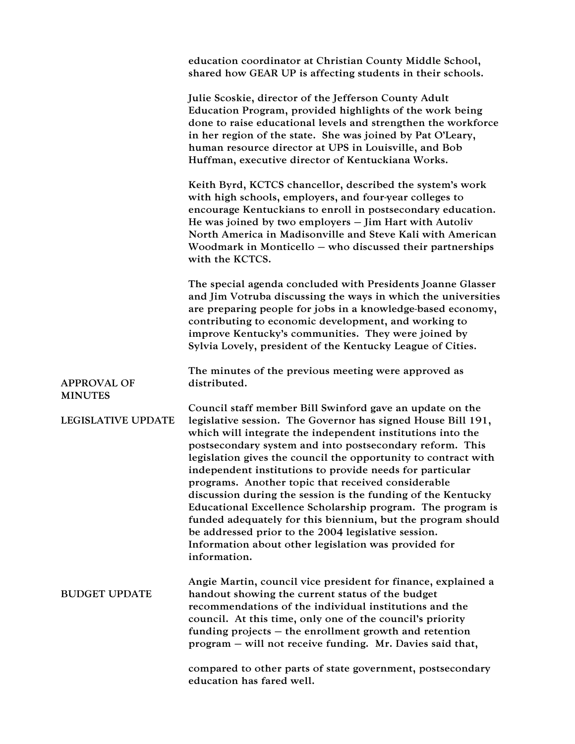|                                      | education coordinator at Christian County Middle School,<br>shared how GEAR UP is affecting students in their schools.                                                                                                                                                                                                                                                                                                                                                                                                                                                                                                                                                                                                                                             |
|--------------------------------------|--------------------------------------------------------------------------------------------------------------------------------------------------------------------------------------------------------------------------------------------------------------------------------------------------------------------------------------------------------------------------------------------------------------------------------------------------------------------------------------------------------------------------------------------------------------------------------------------------------------------------------------------------------------------------------------------------------------------------------------------------------------------|
|                                      | Julie Scoskie, director of the Jefferson County Adult<br>Education Program, provided highlights of the work being<br>done to raise educational levels and strengthen the workforce<br>in her region of the state. She was joined by Pat O'Leary,<br>human resource director at UPS in Louisville, and Bob<br>Huffman, executive director of Kentuckiana Works.                                                                                                                                                                                                                                                                                                                                                                                                     |
|                                      | Keith Byrd, KCTCS chancellor, described the system's work<br>with high schools, employers, and four-year colleges to<br>encourage Kentuckians to enroll in postsecondary education.<br>He was joined by two employers - Jim Hart with Autoliv<br>North America in Madisonville and Steve Kali with American<br>Woodmark in Monticello – who discussed their partnerships<br>with the KCTCS.                                                                                                                                                                                                                                                                                                                                                                        |
|                                      | The special agenda concluded with Presidents Joanne Glasser<br>and Jim Votruba discussing the ways in which the universities<br>are preparing people for jobs in a knowledge-based economy,<br>contributing to economic development, and working to<br>improve Kentucky's communities. They were joined by<br>Sylvia Lovely, president of the Kentucky League of Cities.                                                                                                                                                                                                                                                                                                                                                                                           |
| <b>APPROVAL OF</b><br><b>MINUTES</b> | The minutes of the previous meeting were approved as<br>distributed.                                                                                                                                                                                                                                                                                                                                                                                                                                                                                                                                                                                                                                                                                               |
| <b>LEGISLATIVE UPDATE</b>            | Council staff member Bill Swinford gave an update on the<br>legislative session. The Governor has signed House Bill 191,<br>which will integrate the independent institutions into the<br>postsecondary system and into postsecondary reform. This<br>legislation gives the council the opportunity to contract with<br>independent institutions to provide needs for particular<br>programs. Another topic that received considerable<br>discussion during the session is the funding of the Kentucky<br>Educational Excellence Scholarship program. The program is<br>funded adequately for this biennium, but the program should<br>be addressed prior to the 2004 legislative session.<br>Information about other legislation was provided for<br>information. |
| <b>BUDGET UPDATE</b>                 | Angie Martin, council vice president for finance, explained a<br>handout showing the current status of the budget<br>recommendations of the individual institutions and the<br>council. At this time, only one of the council's priority<br>funding projects $-$ the enrollment growth and retention<br>program – will not receive funding. Mr. Davies said that,                                                                                                                                                                                                                                                                                                                                                                                                  |
|                                      | compared to other parts of state government, postsecondary<br>education has fared well.                                                                                                                                                                                                                                                                                                                                                                                                                                                                                                                                                                                                                                                                            |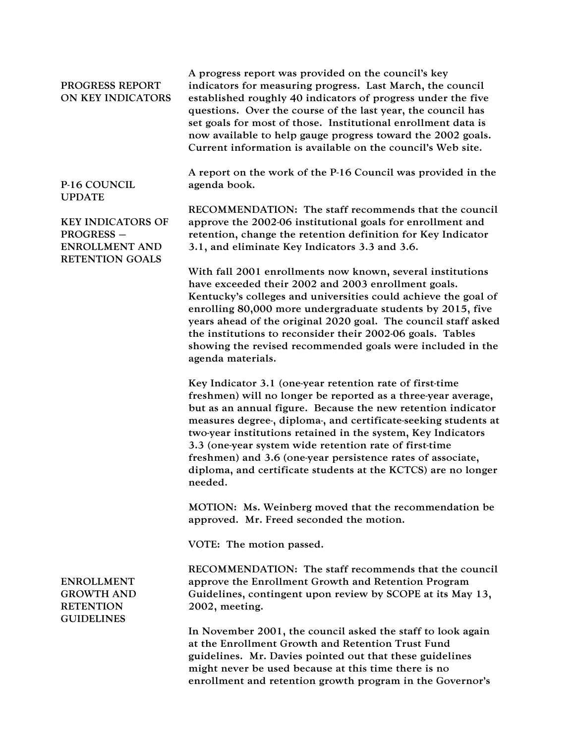| PROGRESS REPORT<br>ON KEY INDICATORS                                                             | A progress report was provided on the council's key<br>indicators for measuring progress. Last March, the council<br>established roughly 40 indicators of progress under the five<br>questions. Over the course of the last year, the council has<br>set goals for most of those. Institutional enrollment data is<br>now available to help gauge progress toward the 2002 goals.<br>Current information is available on the council's Web site.                                                                                  |
|--------------------------------------------------------------------------------------------------|-----------------------------------------------------------------------------------------------------------------------------------------------------------------------------------------------------------------------------------------------------------------------------------------------------------------------------------------------------------------------------------------------------------------------------------------------------------------------------------------------------------------------------------|
| P-16 COUNCIL<br><b>UPDATE</b>                                                                    | A report on the work of the P-16 Council was provided in the<br>agenda book.                                                                                                                                                                                                                                                                                                                                                                                                                                                      |
| <b>KEY INDICATORS OF</b><br><b>PROGRESS -</b><br><b>ENROLLMENT AND</b><br><b>RETENTION GOALS</b> | RECOMMENDATION: The staff recommends that the council<br>approve the 2002-06 institutional goals for enrollment and<br>retention, change the retention definition for Key Indicator<br>3.1, and eliminate Key Indicators 3.3 and 3.6.                                                                                                                                                                                                                                                                                             |
|                                                                                                  | With fall 2001 enrollments now known, several institutions<br>have exceeded their 2002 and 2003 enrollment goals.<br>Kentucky's colleges and universities could achieve the goal of<br>enrolling 80,000 more undergraduate students by 2015, five<br>years ahead of the original 2020 goal. The council staff asked<br>the institutions to reconsider their 2002-06 goals. Tables<br>showing the revised recommended goals were included in the<br>agenda materials.                                                              |
|                                                                                                  | Key Indicator 3.1 (one-year retention rate of first-time<br>freshmen) will no longer be reported as a three-year average,<br>but as an annual figure. Because the new retention indicator<br>measures degree-, diploma-, and certificate-seeking students at<br>two-year institutions retained in the system, Key Indicators<br>3.3 (one-year system wide retention rate of first-time<br>freshmen) and 3.6 (one-year persistence rates of associate,<br>diploma, and certificate students at the KCTCS) are no longer<br>needed. |
|                                                                                                  | MOTION: Ms. Weinberg moved that the recommendation be<br>approved. Mr. Freed seconded the motion.                                                                                                                                                                                                                                                                                                                                                                                                                                 |
|                                                                                                  | VOTE: The motion passed.                                                                                                                                                                                                                                                                                                                                                                                                                                                                                                          |
| <b>ENROLLMENT</b><br><b>GROWTH AND</b><br><b>RETENTION</b><br><b>GUIDELINES</b>                  | RECOMMENDATION: The staff recommends that the council<br>approve the Enrollment Growth and Retention Program<br>Guidelines, contingent upon review by SCOPE at its May 13,<br>2002, meeting.                                                                                                                                                                                                                                                                                                                                      |
|                                                                                                  | In November 2001, the council asked the staff to look again<br>at the Enrollment Growth and Retention Trust Fund<br>guidelines. Mr. Davies pointed out that these guidelines<br>might never be used because at this time there is no<br>enrollment and retention growth program in the Governor's                                                                                                                                                                                                                                 |
|                                                                                                  |                                                                                                                                                                                                                                                                                                                                                                                                                                                                                                                                   |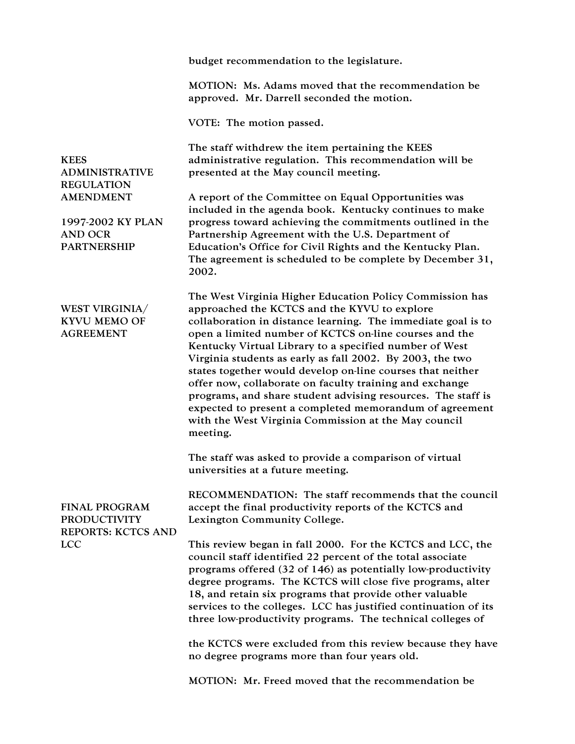|                                                                                                                                            | budget recommendation to the legislature.                                                                                                                                                                                                                                                                                                                                                                                                                                                                                                                                                                                                                                         |
|--------------------------------------------------------------------------------------------------------------------------------------------|-----------------------------------------------------------------------------------------------------------------------------------------------------------------------------------------------------------------------------------------------------------------------------------------------------------------------------------------------------------------------------------------------------------------------------------------------------------------------------------------------------------------------------------------------------------------------------------------------------------------------------------------------------------------------------------|
|                                                                                                                                            | MOTION: Ms. Adams moved that the recommendation be<br>approved. Mr. Darrell seconded the motion.                                                                                                                                                                                                                                                                                                                                                                                                                                                                                                                                                                                  |
|                                                                                                                                            | VOTE: The motion passed.                                                                                                                                                                                                                                                                                                                                                                                                                                                                                                                                                                                                                                                          |
| <b>KEES</b><br><b>ADMINISTRATIVE</b><br><b>REGULATION</b><br><b>AMENDMENT</b><br>1997-2002 KY PLAN<br><b>AND OCR</b><br><b>PARTNERSHIP</b> | The staff withdrew the item pertaining the KEES<br>administrative regulation. This recommendation will be<br>presented at the May council meeting.                                                                                                                                                                                                                                                                                                                                                                                                                                                                                                                                |
|                                                                                                                                            | A report of the Committee on Equal Opportunities was                                                                                                                                                                                                                                                                                                                                                                                                                                                                                                                                                                                                                              |
|                                                                                                                                            | included in the agenda book. Kentucky continues to make<br>progress toward achieving the commitments outlined in the<br>Partnership Agreement with the U.S. Department of<br>Education's Office for Civil Rights and the Kentucky Plan.<br>The agreement is scheduled to be complete by December 31,<br>2002.                                                                                                                                                                                                                                                                                                                                                                     |
| WEST VIRGINIA/<br><b>KYVU MEMO OF</b><br><b>AGREEMENT</b>                                                                                  | The West Virginia Higher Education Policy Commission has<br>approached the KCTCS and the KYVU to explore<br>collaboration in distance learning. The immediate goal is to<br>open a limited number of KCTCS on-line courses and the<br>Kentucky Virtual Library to a specified number of West<br>Virginia students as early as fall 2002. By 2003, the two<br>states together would develop on-line courses that neither<br>offer now, collaborate on faculty training and exchange<br>programs, and share student advising resources. The staff is<br>expected to present a completed memorandum of agreement<br>with the West Virginia Commission at the May council<br>meeting. |
|                                                                                                                                            | The staff was asked to provide a comparison of virtual<br>universities at a future meeting.                                                                                                                                                                                                                                                                                                                                                                                                                                                                                                                                                                                       |
| <b>FINAL PROGRAM</b><br><b>PRODUCTIVITY</b><br><b>REPORTS: KCTCS AND</b><br><b>LCC</b>                                                     | RECOMMENDATION: The staff recommends that the council<br>accept the final productivity reports of the KCTCS and<br>Lexington Community College.                                                                                                                                                                                                                                                                                                                                                                                                                                                                                                                                   |
|                                                                                                                                            | This review began in fall 2000. For the KCTCS and LCC, the<br>council staff identified 22 percent of the total associate<br>programs offered (32 of 146) as potentially low-productivity<br>degree programs. The KCTCS will close five programs, alter<br>18, and retain six programs that provide other valuable<br>services to the colleges. LCC has justified continuation of its<br>three low-productivity programs. The technical colleges of                                                                                                                                                                                                                                |
|                                                                                                                                            | the KCTCS were excluded from this review because they have<br>no degree programs more than four years old.                                                                                                                                                                                                                                                                                                                                                                                                                                                                                                                                                                        |
|                                                                                                                                            | MOTION: Mr. Freed moved that the recommendation be                                                                                                                                                                                                                                                                                                                                                                                                                                                                                                                                                                                                                                |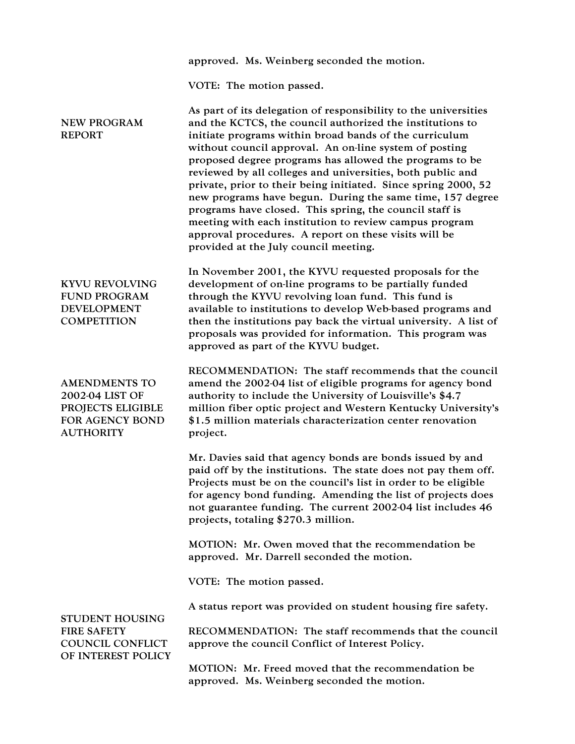|                                                                                                     | approved. Ms. Weinberg seconded the motion.                                                                                                                                                                                                                                                                                                                                                                                                                                                                                                                                                                                                                                                                                     |
|-----------------------------------------------------------------------------------------------------|---------------------------------------------------------------------------------------------------------------------------------------------------------------------------------------------------------------------------------------------------------------------------------------------------------------------------------------------------------------------------------------------------------------------------------------------------------------------------------------------------------------------------------------------------------------------------------------------------------------------------------------------------------------------------------------------------------------------------------|
|                                                                                                     | VOTE: The motion passed.                                                                                                                                                                                                                                                                                                                                                                                                                                                                                                                                                                                                                                                                                                        |
| <b>NEW PROGRAM</b><br><b>REPORT</b>                                                                 | As part of its delegation of responsibility to the universities<br>and the KCTCS, the council authorized the institutions to<br>initiate programs within broad bands of the curriculum<br>without council approval. An on-line system of posting<br>proposed degree programs has allowed the programs to be<br>reviewed by all colleges and universities, both public and<br>private, prior to their being initiated. Since spring 2000, 52<br>new programs have begun. During the same time, 157 degree<br>programs have closed. This spring, the council staff is<br>meeting with each institution to review campus program<br>approval procedures. A report on these visits will be<br>provided at the July council meeting. |
| <b>KYVU REVOLVING</b><br><b>FUND PROGRAM</b><br><b>DEVELOPMENT</b><br><b>COMPETITION</b>            | In November 2001, the KYVU requested proposals for the<br>development of on-line programs to be partially funded<br>through the KYVU revolving loan fund. This fund is<br>available to institutions to develop Web-based programs and<br>then the institutions pay back the virtual university. A list of<br>proposals was provided for information. This program was<br>approved as part of the KYVU budget.                                                                                                                                                                                                                                                                                                                   |
| <b>AMENDMENTS TO</b><br>2002-04 LIST OF<br>PROJECTS ELIGIBLE<br>FOR AGENCY BOND<br><b>AUTHORITY</b> | RECOMMENDATION: The staff recommends that the council<br>amend the 2002-04 list of eligible programs for agency bond<br>authority to include the University of Louisville's \$4.7<br>million fiber optic project and Western Kentucky University's<br>\$1.5 million materials characterization center renovation<br>project.                                                                                                                                                                                                                                                                                                                                                                                                    |
|                                                                                                     | Mr. Davies said that agency bonds are bonds issued by and<br>paid off by the institutions. The state does not pay them off.<br>Projects must be on the council's list in order to be eligible<br>for agency bond funding. Amending the list of projects does<br>not guarantee funding. The current 2002-04 list includes 46<br>projects, totaling \$270.3 million.                                                                                                                                                                                                                                                                                                                                                              |
|                                                                                                     | MOTION: Mr. Owen moved that the recommendation be<br>approved. Mr. Darrell seconded the motion.                                                                                                                                                                                                                                                                                                                                                                                                                                                                                                                                                                                                                                 |
|                                                                                                     | VOTE: The motion passed.                                                                                                                                                                                                                                                                                                                                                                                                                                                                                                                                                                                                                                                                                                        |
| <b>STUDENT HOUSING</b><br><b>FIRE SAFETY</b><br><b>COUNCIL CONFLICT</b><br>OF INTEREST POLICY       | A status report was provided on student housing fire safety.                                                                                                                                                                                                                                                                                                                                                                                                                                                                                                                                                                                                                                                                    |
|                                                                                                     | RECOMMENDATION: The staff recommends that the council<br>approve the council Conflict of Interest Policy.                                                                                                                                                                                                                                                                                                                                                                                                                                                                                                                                                                                                                       |
|                                                                                                     | MOTION: Mr. Freed moved that the recommendation be<br>approved. Ms. Weinberg seconded the motion.                                                                                                                                                                                                                                                                                                                                                                                                                                                                                                                                                                                                                               |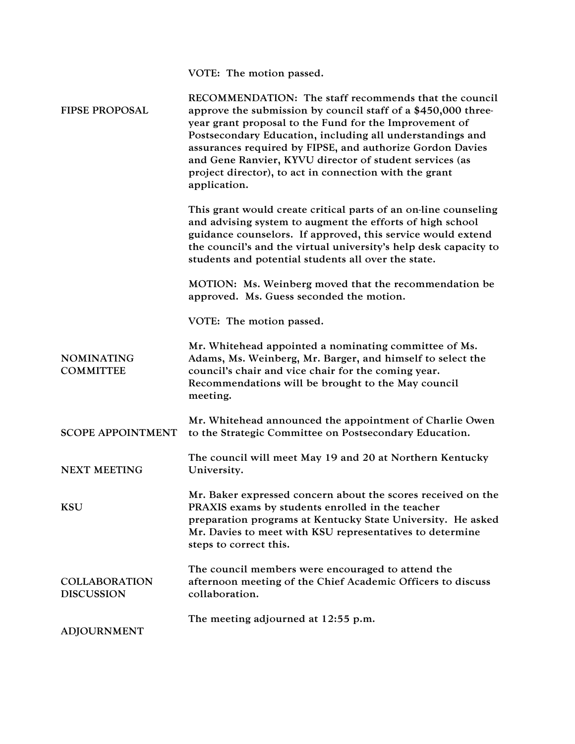VOTE: The motion passed.

| <b>FIPSE PROPOSAL</b>                     | RECOMMENDATION: The staff recommends that the council<br>approve the submission by council staff of a \$450,000 three-<br>year grant proposal to the Fund for the Improvement of<br>Postsecondary Education, including all understandings and<br>assurances required by FIPSE, and authorize Gordon Davies<br>and Gene Ranvier, KYVU director of student services (as<br>project director), to act in connection with the grant<br>application. |
|-------------------------------------------|-------------------------------------------------------------------------------------------------------------------------------------------------------------------------------------------------------------------------------------------------------------------------------------------------------------------------------------------------------------------------------------------------------------------------------------------------|
|                                           | This grant would create critical parts of an on-line counseling<br>and advising system to augment the efforts of high school<br>guidance counselors. If approved, this service would extend<br>the council's and the virtual university's help desk capacity to<br>students and potential students all over the state.                                                                                                                          |
|                                           | MOTION: Ms. Weinberg moved that the recommendation be<br>approved. Ms. Guess seconded the motion.                                                                                                                                                                                                                                                                                                                                               |
|                                           | VOTE: The motion passed.                                                                                                                                                                                                                                                                                                                                                                                                                        |
| <b>NOMINATING</b><br><b>COMMITTEE</b>     | Mr. Whitehead appointed a nominating committee of Ms.<br>Adams, Ms. Weinberg, Mr. Barger, and himself to select the<br>council's chair and vice chair for the coming year.<br>Recommendations will be brought to the May council<br>meeting.                                                                                                                                                                                                    |
| <b>SCOPE APPOINTMENT</b>                  | Mr. Whitehead announced the appointment of Charlie Owen<br>to the Strategic Committee on Postsecondary Education.                                                                                                                                                                                                                                                                                                                               |
| <b>NEXT MEETING</b>                       | The council will meet May 19 and 20 at Northern Kentucky<br>University.                                                                                                                                                                                                                                                                                                                                                                         |
| <b>KSU</b>                                | Mr. Baker expressed concern about the scores received on the<br>PRAXIS exams by students enrolled in the teacher<br>preparation programs at Kentucky State University. He asked<br>Mr. Davies to meet with KSU representatives to determine<br>steps to correct this.                                                                                                                                                                           |
| <b>COLLABORATION</b><br><b>DISCUSSION</b> | The council members were encouraged to attend the<br>afternoon meeting of the Chief Academic Officers to discuss<br>collaboration.                                                                                                                                                                                                                                                                                                              |
| <b>ADJOURNMENT</b>                        | The meeting adjourned at 12:55 p.m.                                                                                                                                                                                                                                                                                                                                                                                                             |